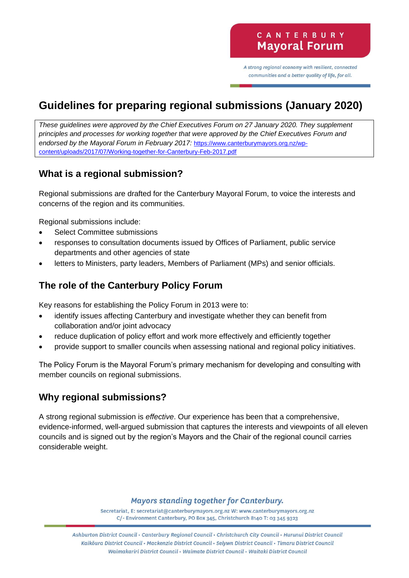A strong regional economy with resilient, connected communities and a better quality of life, for all.

# **Guidelines for preparing regional submissions (January 2020)**

*These guidelines were approved by the Chief Executives Forum on 27 January 2020. They supplement principles and processes for working together that were approved by the Chief Executives Forum and endorsed by the Mayoral Forum in February 2017:* [https://www.canterburymayors.org.nz/wp](https://www.canterburymayors.org.nz/wp-content/uploads/2017/07/Working-together-for-Canterbury-Feb-2017.pdf)[content/uploads/2017/07/Working-together-for-Canterbury-Feb-2017.pdf](https://www.canterburymayors.org.nz/wp-content/uploads/2017/07/Working-together-for-Canterbury-Feb-2017.pdf)

# **What is a regional submission?**

Regional submissions are drafted for the Canterbury Mayoral Forum, to voice the interests and concerns of the region and its communities.

Regional submissions include:

- Select Committee submissions
- responses to consultation documents issued by Offices of Parliament, public service departments and other agencies of state
- letters to Ministers, party leaders, Members of Parliament (MPs) and senior officials.

# **The role of the Canterbury Policy Forum**

Key reasons for establishing the Policy Forum in 2013 were to:

- identify issues affecting Canterbury and investigate whether they can benefit from collaboration and/or joint advocacy
- reduce duplication of policy effort and work more effectively and efficiently together
- provide support to smaller councils when assessing national and regional policy initiatives.

The Policy Forum is the Mayoral Forum's primary mechanism for developing and consulting with member councils on regional submissions.

# **Why regional submissions?**

A strong regional submission is *effective*. Our experience has been that a comprehensive, evidence-informed, well-argued submission that captures the interests and viewpoints of all eleven councils and is signed out by the region's Mayors and the Chair of the regional council carries considerable weight.

#### **Mayors standing together for Canterbury.**

Secretariat, E: secretariat@canterburymayors.org.nz W: www.canterburymayors.org.nz C/- Environment Canterbury, PO Box 345, Christchurch 8140 T: 03 345 9323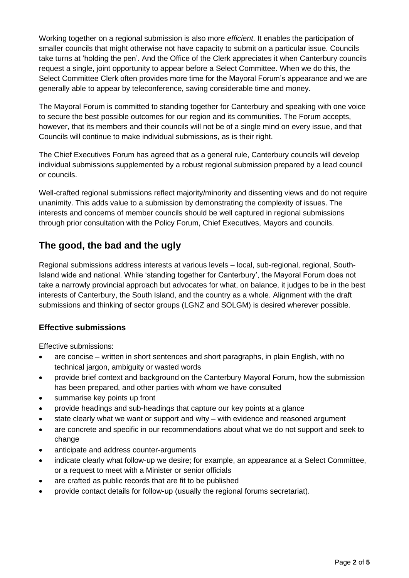Working together on a regional submission is also more *efficient*. It enables the participation of smaller councils that might otherwise not have capacity to submit on a particular issue. Councils take turns at 'holding the pen'. And the Office of the Clerk appreciates it when Canterbury councils request a single, joint opportunity to appear before a Select Committee. When we do this, the Select Committee Clerk often provides more time for the Mayoral Forum's appearance and we are generally able to appear by teleconference, saving considerable time and money.

The Mayoral Forum is committed to standing together for Canterbury and speaking with one voice to secure the best possible outcomes for our region and its communities. The Forum accepts, however, that its members and their councils will not be of a single mind on every issue, and that Councils will continue to make individual submissions, as is their right.

The Chief Executives Forum has agreed that as a general rule, Canterbury councils will develop individual submissions supplemented by a robust regional submission prepared by a lead council or councils.

Well-crafted regional submissions reflect majority/minority and dissenting views and do not require unanimity. This adds value to a submission by demonstrating the complexity of issues. The interests and concerns of member councils should be well captured in regional submissions through prior consultation with the Policy Forum, Chief Executives, Mayors and councils.

# **The good, the bad and the ugly**

Regional submissions address interests at various levels – local, sub-regional, regional, South-Island wide and national. While 'standing together for Canterbury', the Mayoral Forum does not take a narrowly provincial approach but advocates for what, on balance, it judges to be in the best interests of Canterbury, the South Island, and the country as a whole. Alignment with the draft submissions and thinking of sector groups (LGNZ and SOLGM) is desired wherever possible.

#### **Effective submissions**

Effective submissions:

- are concise written in short sentences and short paragraphs, in plain English, with no technical jargon, ambiguity or wasted words
- provide brief context and background on the Canterbury Mayoral Forum, how the submission has been prepared, and other parties with whom we have consulted
- summarise key points up front
- provide headings and sub-headings that capture our key points at a glance
- state clearly what we want or support and why with evidence and reasoned argument
- are concrete and specific in our recommendations about what we do not support and seek to change
- anticipate and address counter-arguments
- indicate clearly what follow-up we desire; for example, an appearance at a Select Committee, or a request to meet with a Minister or senior officials
- are crafted as public records that are fit to be published
- provide contact details for follow-up (usually the regional forums secretariat).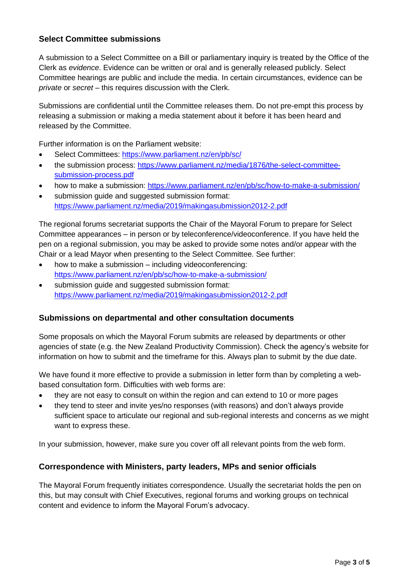#### **Select Committee submissions**

A submission to a Select Committee on a Bill or parliamentary inquiry is treated by the Office of the Clerk as *evidence*. Evidence can be written or oral and is generally released publicly. Select Committee hearings are public and include the media. In certain circumstances, evidence can be *private* or *secret* – this requires discussion with the Clerk.

Submissions are confidential until the Committee releases them. Do not pre-empt this process by releasing a submission or making a media statement about it before it has been heard and released by the Committee.

Further information is on the Parliament website:

- Select Committees:<https://www.parliament.nz/en/pb/sc/>
- the submission process: [https://www.parliament.nz/media/1876/the-select-committee](https://www.parliament.nz/media/1876/the-select-committee-submission-process.pdf)[submission-process.pdf](https://www.parliament.nz/media/1876/the-select-committee-submission-process.pdf)
- how to make a submission:<https://www.parliament.nz/en/pb/sc/how-to-make-a-submission/>
- submission quide and suggested submission format: <https://www.parliament.nz/media/2019/makingasubmission2012-2.pdf>

The regional forums secretariat supports the Chair of the Mayoral Forum to prepare for Select Committee appearances – in person or by teleconference/videoconference. If you have held the pen on a regional submission, you may be asked to provide some notes and/or appear with the Chair or a lead Mayor when presenting to the Select Committee. See further:

- how to make a submission including videoconferencing: <https://www.parliament.nz/en/pb/sc/how-to-make-a-submission/>
- submission quide and suggested submission format: <https://www.parliament.nz/media/2019/makingasubmission2012-2.pdf>

#### **Submissions on departmental and other consultation documents**

Some proposals on which the Mayoral Forum submits are released by departments or other agencies of state (e.g. the New Zealand Productivity Commission). Check the agency's website for information on how to submit and the timeframe for this. Always plan to submit by the due date.

We have found it more effective to provide a submission in letter form than by completing a webbased consultation form. Difficulties with web forms are:

- they are not easy to consult on within the region and can extend to 10 or more pages
- they tend to steer and invite yes/no responses (with reasons) and don't always provide sufficient space to articulate our regional and sub-regional interests and concerns as we might want to express these.

In your submission, however, make sure you cover off all relevant points from the web form.

#### **Correspondence with Ministers, party leaders, MPs and senior officials**

The Mayoral Forum frequently initiates correspondence. Usually the secretariat holds the pen on this, but may consult with Chief Executives, regional forums and working groups on technical content and evidence to inform the Mayoral Forum's advocacy.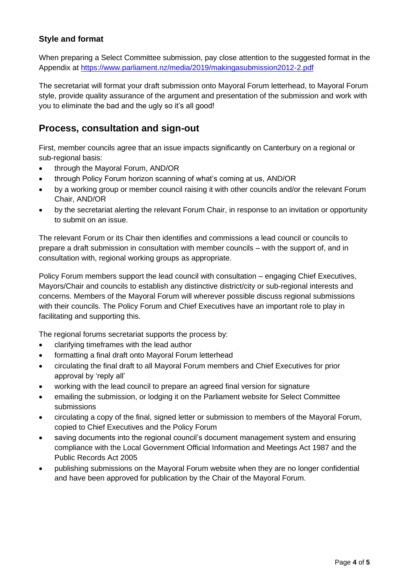#### **Style and format**

When preparing a Select Committee submission, pay close attention to the suggested format in the Appendix at<https://www.parliament.nz/media/2019/makingasubmission2012-2.pdf>

The secretariat will format your draft submission onto Mayoral Forum letterhead, to Mayoral Forum style, provide quality assurance of the argument and presentation of the submission and work with you to eliminate the bad and the ugly so it's all good!

### **Process, consultation and sign-out**

First, member councils agree that an issue impacts significantly on Canterbury on a regional or sub-regional basis:

- through the Mayoral Forum, AND/OR
- through Policy Forum horizon scanning of what's coming at us, AND/OR
- by a working group or member council raising it with other councils and/or the relevant Forum Chair, AND/OR
- by the secretariat alerting the relevant Forum Chair, in response to an invitation or opportunity to submit on an issue.

The relevant Forum or its Chair then identifies and commissions a lead council or councils to prepare a draft submission in consultation with member councils – with the support of, and in consultation with, regional working groups as appropriate.

Policy Forum members support the lead council with consultation – engaging Chief Executives, Mayors/Chair and councils to establish any distinctive district/city or sub-regional interests and concerns. Members of the Mayoral Forum will wherever possible discuss regional submissions with their councils. The Policy Forum and Chief Executives have an important role to play in facilitating and supporting this.

The regional forums secretariat supports the process by:

- clarifying timeframes with the lead author
- formatting a final draft onto Mayoral Forum letterhead
- circulating the final draft to all Mayoral Forum members and Chief Executives for prior approval by 'reply all'
- working with the lead council to prepare an agreed final version for signature
- emailing the submission, or lodging it on the Parliament website for Select Committee submissions
- circulating a copy of the final, signed letter or submission to members of the Mayoral Forum, copied to Chief Executives and the Policy Forum
- saving documents into the regional council's document management system and ensuring compliance with the Local Government Official Information and Meetings Act 1987 and the Public Records Act 2005
- publishing submissions on the Mayoral Forum website when they are no longer confidential and have been approved for publication by the Chair of the Mayoral Forum.